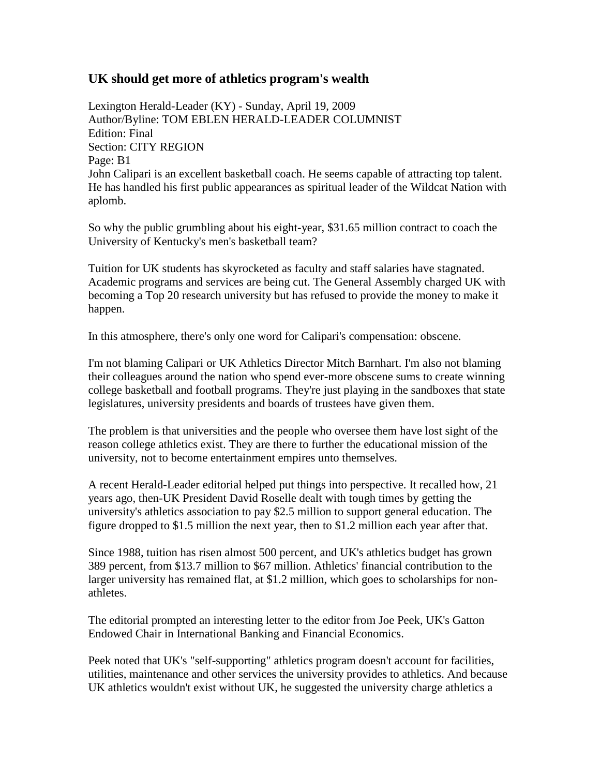## **UK should get more of athletics program's wealth**

Lexington Herald-Leader (KY) - Sunday, April 19, 2009 Author/Byline: TOM EBLEN HERALD-LEADER COLUMNIST Edition: Final Section: CITY REGION Page: B1 John Calipari is an excellent basketball coach. He seems capable of attracting top talent. He has handled his first public appearances as spiritual leader of the Wildcat Nation with aplomb.

So why the public grumbling about his eight-year, \$31.65 million contract to coach the University of Kentucky's men's basketball team?

Tuition for UK students has skyrocketed as faculty and staff salaries have stagnated. Academic programs and services are being cut. The General Assembly charged UK with becoming a Top 20 research university but has refused to provide the money to make it happen.

In this atmosphere, there's only one word for Calipari's compensation: obscene.

I'm not blaming Calipari or UK Athletics Director Mitch Barnhart. I'm also not blaming their colleagues around the nation who spend ever-more obscene sums to create winning college basketball and football programs. They're just playing in the sandboxes that state legislatures, university presidents and boards of trustees have given them.

The problem is that universities and the people who oversee them have lost sight of the reason college athletics exist. They are there to further the educational mission of the university, not to become entertainment empires unto themselves.

A recent Herald-Leader editorial helped put things into perspective. It recalled how, 21 years ago, then-UK President David Roselle dealt with tough times by getting the university's athletics association to pay \$2.5 million to support general education. The figure dropped to \$1.5 million the next year, then to \$1.2 million each year after that.

Since 1988, tuition has risen almost 500 percent, and UK's athletics budget has grown 389 percent, from \$13.7 million to \$67 million. Athletics' financial contribution to the larger university has remained flat, at \$1.2 million, which goes to scholarships for nonathletes.

The editorial prompted an interesting letter to the editor from Joe Peek, UK's Gatton Endowed Chair in International Banking and Financial Economics.

Peek noted that UK's "self-supporting" athletics program doesn't account for facilities, utilities, maintenance and other services the university provides to athletics. And because UK athletics wouldn't exist without UK, he suggested the university charge athletics a